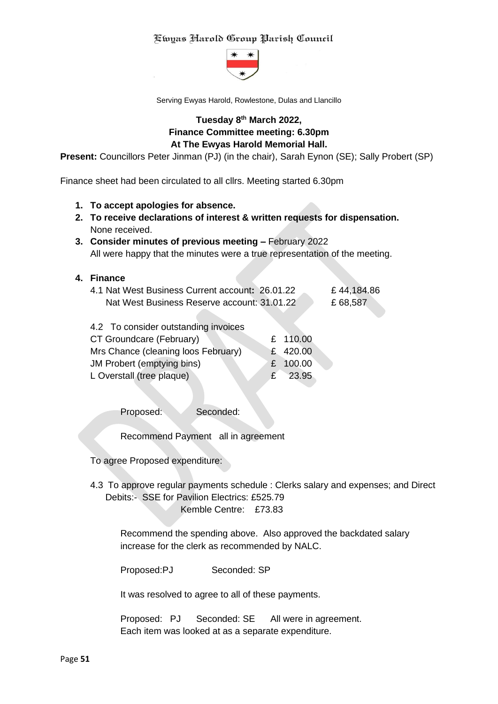

Serving Ewyas Harold, Rowlestone, Dulas and Llancillo

# **Tuesday 8 th March 2022, Finance Committee meeting: 6.30pm At The Ewyas Harold Memorial Hall.**

**Present:** Councillors Peter Jinman (PJ) (in the chair), Sarah Eynon (SE); Sally Probert (SP)

Finance sheet had been circulated to all cllrs. Meeting started 6.30pm

- **1. To accept apologies for absence.**
- **2. To receive declarations of interest & written requests for dispensation.** None received.
- **3. Consider minutes of previous meeting –** February 2022 All were happy that the minutes were a true representation of the meeting.

#### **4. Finance**

| 4.1 Nat West Business Current account: 26.01.22 | £ 44,184.86 |
|-------------------------------------------------|-------------|
| Nat West Business Reserve account: 31.01.22     | £68,587     |

| 4.2 To consider outstanding invoices |           |
|--------------------------------------|-----------|
| CT Groundcare (February)             | £ 110.00  |
| Mrs Chance (cleaning loos February)  | £ 420.00  |
| JM Probert (emptying bins)           | £ 100.00  |
| L Overstall (tree plaque)            | $£$ 23.95 |
|                                      |           |

Proposed: Seconded:

Recommend Payment all in agreement

To agree Proposed expenditure:

4.3 To approve regular payments schedule : Clerks salary and expenses; and Direct Debits:- SSE for Pavilion Electrics: £525.79 Kemble Centre: £73.83

Recommend the spending above. Also approved the backdated salary increase for the clerk as recommended by NALC.

Proposed:PJ Seconded: SP

It was resolved to agree to all of these payments.

Proposed: PJ Seconded: SE All were in agreement. Each item was looked at as a separate expenditure.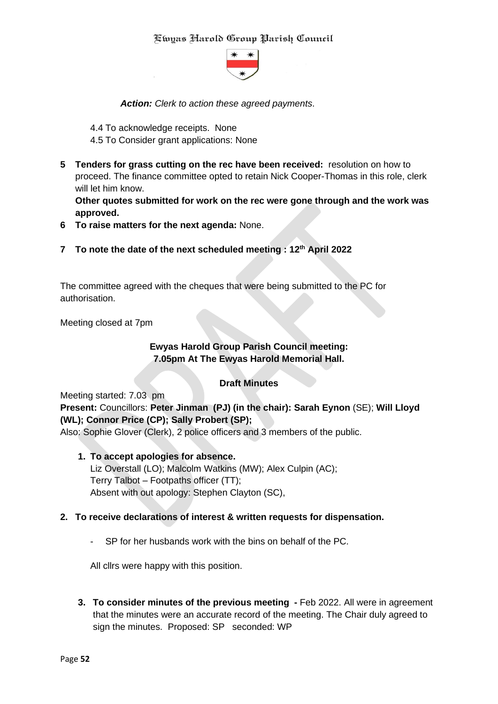

*Action: Clerk to action these agreed payments*.

- 4.4 To acknowledge receipts. None
- 4.5 To Consider grant applications: None
- **5 Tenders for grass cutting on the rec have been received:** resolution on how to proceed. The finance committee opted to retain Nick Cooper-Thomas in this role, clerk will let him know.

**Other quotes submitted for work on the rec were gone through and the work was approved.**

- **6 To raise matters for the next agenda:** None.
- **7 To note the date of the next scheduled meeting : 12th April 2022**

The committee agreed with the cheques that were being submitted to the PC for authorisation.

Meeting closed at 7pm

# **Ewyas Harold Group Parish Council meeting: 7.05pm At The Ewyas Harold Memorial Hall.**

# **Draft Minutes**

#### Meeting started: 7.03 pm

**Present:** Councillors: **Peter Jinman (PJ) (in the chair): Sarah Eynon** (SE); **Will Lloyd (WL); Connor Price (CP); Sally Probert (SP);**

Also: Sophie Glover (Clerk), 2 police officers and 3 members of the public.

**1. To accept apologies for absence.** Liz Overstall (LO); Malcolm Watkins (MW); Alex Culpin (AC); Terry Talbot – Footpaths officer (TT); Absent with out apology: Stephen Clayton (SC),

#### **2. To receive declarations of interest & written requests for dispensation.**

SP for her husbands work with the bins on behalf of the PC.

All cllrs were happy with this position.

**3. To consider minutes of the previous meeting -** Feb 2022. All were in agreement that the minutes were an accurate record of the meeting. The Chair duly agreed to sign the minutes. Proposed: SP seconded: WP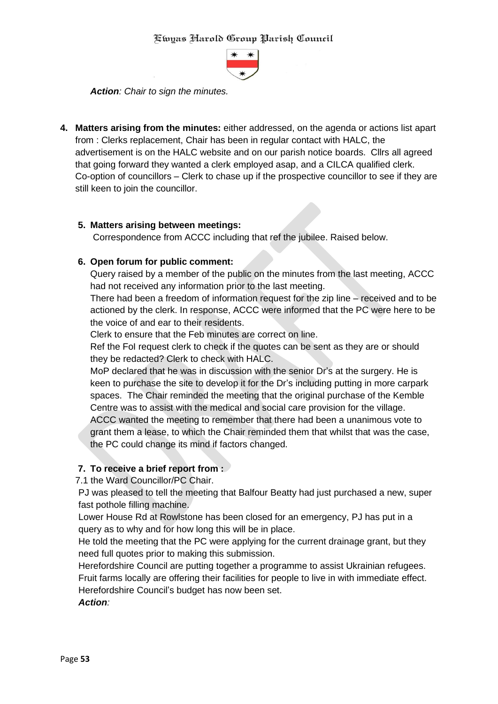

*Action: Chair to sign the minutes.*

**4. Matters arising from the minutes:** either addressed, on the agenda or actions list apart from : Clerks replacement, Chair has been in regular contact with HALC, the advertisement is on the HALC website and on our parish notice boards. Cllrs all agreed that going forward they wanted a clerk employed asap, and a CILCA qualified clerk. Co-option of councillors – Clerk to chase up if the prospective councillor to see if they are still keen to join the councillor.

#### **5. Matters arising between meetings:**

Correspondence from ACCC including that ref the jubilee. Raised below.

### **6. Open forum for public comment:**

Query raised by a member of the public on the minutes from the last meeting, ACCC had not received any information prior to the last meeting.

There had been a freedom of information request for the zip line – received and to be actioned by the clerk. In response, ACCC were informed that the PC were here to be the voice of and ear to their residents.

Clerk to ensure that the Feb minutes are correct on line.

Ref the FoI request clerk to check if the quotes can be sent as they are or should they be redacted? Clerk to check with HALC.

MoP declared that he was in discussion with the senior Dr's at the surgery. He is keen to purchase the site to develop it for the Dr's including putting in more carpark spaces. The Chair reminded the meeting that the original purchase of the Kemble Centre was to assist with the medical and social care provision for the village.

ACCC wanted the meeting to remember that there had been a unanimous vote to grant them a lease, to which the Chair reminded them that whilst that was the case, the PC could change its mind if factors changed.

# **7. To receive a brief report from :**

#### 7.1 the Ward Councillor/PC Chair.

PJ was pleased to tell the meeting that Balfour Beatty had just purchased a new, super fast pothole filling machine.

Lower House Rd at Rowlstone has been closed for an emergency, PJ has put in a query as to why and for how long this will be in place.

He told the meeting that the PC were applying for the current drainage grant, but they need full quotes prior to making this submission.

Herefordshire Council are putting together a programme to assist Ukrainian refugees. Fruit farms locally are offering their facilities for people to live in with immediate effect. Herefordshire Council's budget has now been set.

*Action:*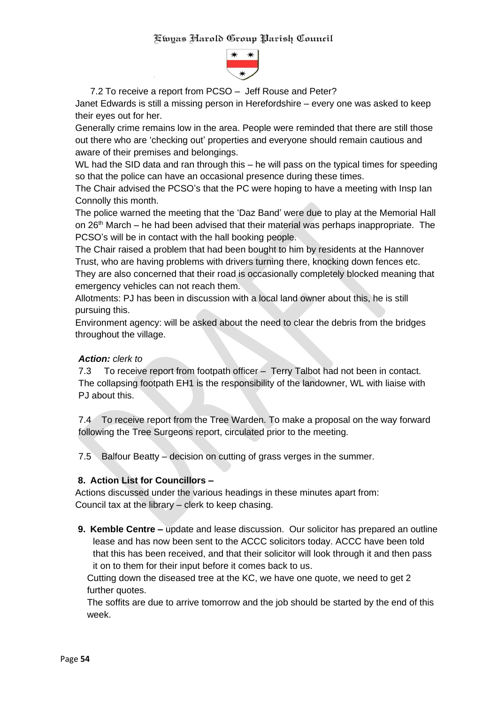

7.2 To receive a report from PCSO – Jeff Rouse and Peter?

Janet Edwards is still a missing person in Herefordshire – every one was asked to keep their eyes out for her.

Generally crime remains low in the area. People were reminded that there are still those out there who are 'checking out' properties and everyone should remain cautious and aware of their premises and belongings.

WL had the SID data and ran through this – he will pass on the typical times for speeding so that the police can have an occasional presence during these times.

The Chair advised the PCSO's that the PC were hoping to have a meeting with Insp Ian Connolly this month.

The police warned the meeting that the 'Daz Band' were due to play at the Memorial Hall on 26<sup>th</sup> March – he had been advised that their material was perhaps inappropriate. The PCSO's will be in contact with the hall booking people.

The Chair raised a problem that had been bought to him by residents at the Hannover Trust, who are having problems with drivers turning there, knocking down fences etc. They are also concerned that their road is occasionally completely blocked meaning that emergency vehicles can not reach them.

Allotments: PJ has been in discussion with a local land owner about this, he is still pursuing this.

Environment agency: will be asked about the need to clear the debris from the bridges throughout the village.

#### *Action: clerk to*

7.3 To receive report from footpath officer – Terry Talbot had not been in contact. The collapsing footpath EH1 is the responsibility of the landowner, WL with liaise with PJ about this.

7.4 To receive report from the Tree Warden. To make a proposal on the way forward following the Tree Surgeons report, circulated prior to the meeting.

7.5 Balfour Beatty – decision on cutting of grass verges in the summer.

#### **8. Action List for Councillors –**

Actions discussed under the various headings in these minutes apart from: Council tax at the library – clerk to keep chasing.

**9. Kemble Centre –** update and lease discussion. Our solicitor has prepared an outline lease and has now been sent to the ACCC solicitors today. ACCC have been told that this has been received, and that their solicitor will look through it and then pass it on to them for their input before it comes back to us.

Cutting down the diseased tree at the KC, we have one quote, we need to get 2 further quotes.

The soffits are due to arrive tomorrow and the job should be started by the end of this week.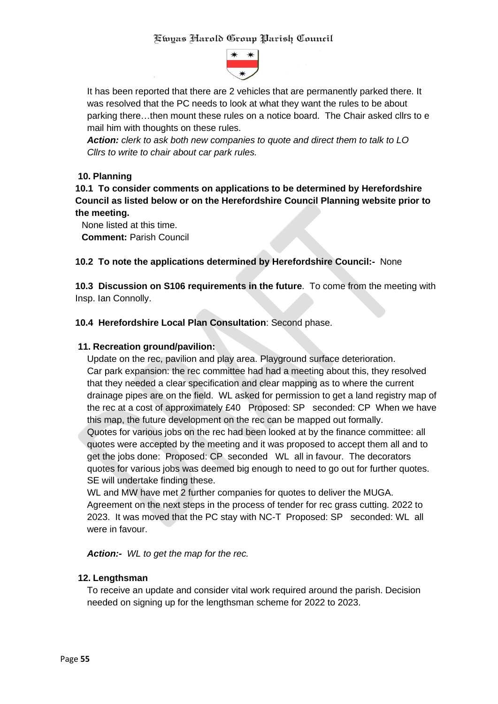

It has been reported that there are 2 vehicles that are permanently parked there. It was resolved that the PC needs to look at what they want the rules to be about parking there…then mount these rules on a notice board. The Chair asked cllrs to e mail him with thoughts on these rules.

*Action: clerk to ask both new companies to quote and direct them to talk to LO Cllrs to write to chair about car park rules.*

# **10. Planning**

**10.1 To consider comments on applications to be determined by Herefordshire Council as listed below or on the Herefordshire Council Planning website prior to the meeting.**

None listed at this time. **Comment:** Parish Council

### **10.2 To note the applications determined by Herefordshire Council:-** None

**10.3 Discussion on S106 requirements in the future**. To come from the meeting with Insp. Ian Connolly.

### **10.4 Herefordshire Local Plan Consultation**: Second phase.

#### **11. Recreation ground/pavilion:**

Update on the rec, pavilion and play area. Playground surface deterioration. Car park expansion: the rec committee had had a meeting about this, they resolved that they needed a clear specification and clear mapping as to where the current drainage pipes are on the field. WL asked for permission to get a land registry map of the rec at a cost of approximately £40 Proposed: SP seconded: CP When we have this map, the future development on the rec can be mapped out formally.

Quotes for various jobs on the rec had been looked at by the finance committee: all quotes were accepted by the meeting and it was proposed to accept them all and to get the jobs done: Proposed: CP seconded WL all in favour. The decorators quotes for various jobs was deemed big enough to need to go out for further quotes. SE will undertake finding these.

WL and MW have met 2 further companies for quotes to deliver the MUGA. Agreement on the next steps in the process of tender for rec grass cutting. 2022 to 2023. It was moved that the PC stay with NC-T Proposed: SP seconded: WL all were in favour.

*Action:- WL to get the map for the rec.*

#### **12. Lengthsman**

To receive an update and consider vital work required around the parish. Decision needed on signing up for the lengthsman scheme for 2022 to 2023.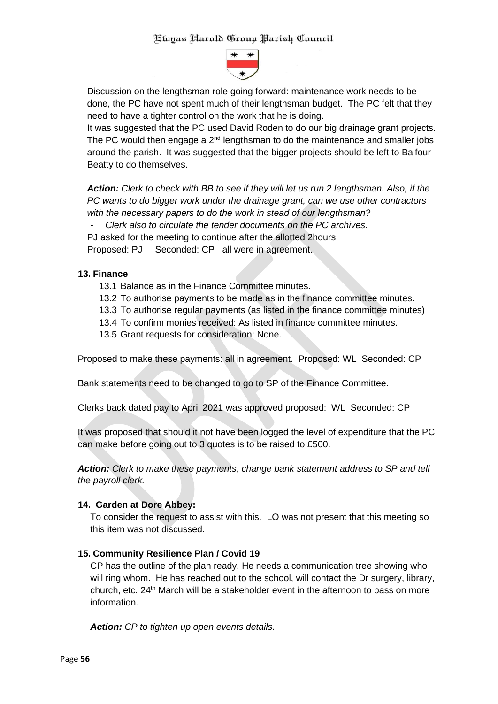

Discussion on the lengthsman role going forward: maintenance work needs to be done, the PC have not spent much of their lengthsman budget. The PC felt that they need to have a tighter control on the work that he is doing.

It was suggested that the PC used David Roden to do our big drainage grant projects. The PC would then engage a  $2<sup>nd</sup>$  lengthsman to do the maintenance and smaller jobs around the parish. It was suggested that the bigger projects should be left to Balfour Beatty to do themselves.

*Action: Clerk to check with BB to see if they will let us run 2 lengthsman. Also, if the PC wants to do bigger work under the drainage grant, can we use other contractors with the necessary papers to do the work in stead of our lengthsman?*

- *Clerk also to circulate the tender documents on the PC archives.*

PJ asked for the meeting to continue after the allotted 2hours.

Proposed: PJ Seconded: CP all were in agreement.

### **13. Finance**

- 13.1 Balance as in the Finance Committee minutes.
- 13.2 To authorise payments to be made as in the finance committee minutes.
- 13.3 To authorise regular payments (as listed in the finance committee minutes)
- 13.4 To confirm monies received: As listed in finance committee minutes.
- 13.5 Grant requests for consideration: None.

Proposed to make these payments: all in agreement. Proposed: WL Seconded: CP

Bank statements need to be changed to go to SP of the Finance Committee.

Clerks back dated pay to April 2021 was approved proposed: WL Seconded: CP

It was proposed that should it not have been logged the level of expenditure that the PC can make before going out to 3 quotes is to be raised to £500.

*Action: Clerk to make these payments*, *change bank statement address to SP and tell the payroll clerk.*

#### **14. Garden at Dore Abbey:**

To consider the request to assist with this. LO was not present that this meeting so this item was not discussed.

#### **15. Community Resilience Plan / Covid 19**

CP has the outline of the plan ready. He needs a communication tree showing who will ring whom. He has reached out to the school, will contact the Dr surgery, library, church, etc. 24<sup>th</sup> March will be a stakeholder event in the afternoon to pass on more information.

*Action: CP to tighten up open events details.*